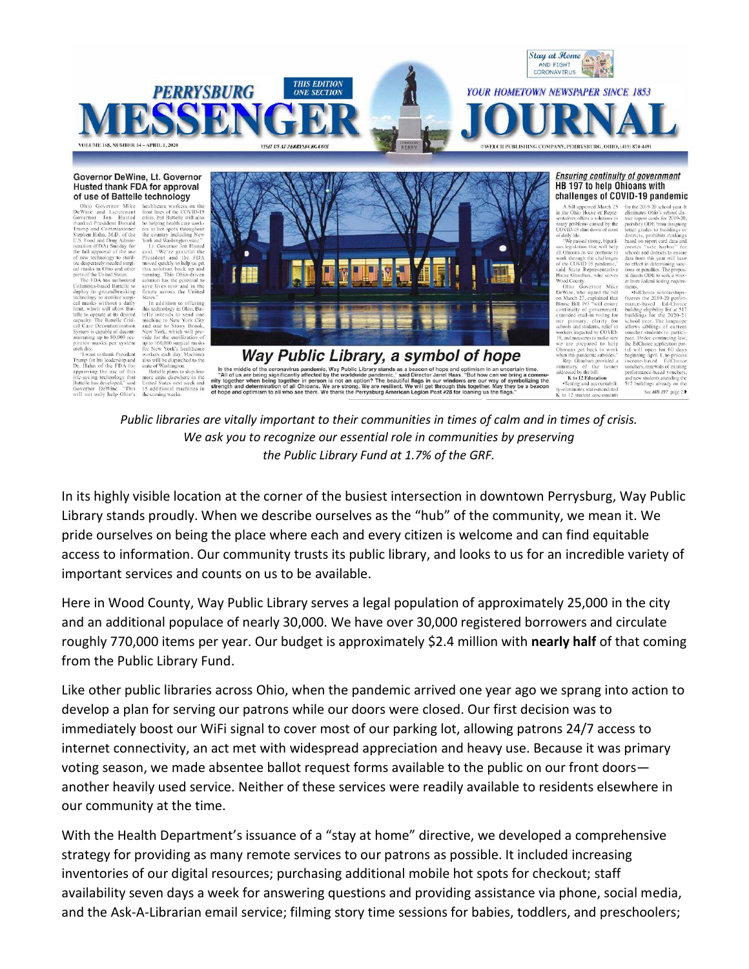

## Husted thank FDA for approval of use of Battelle technology

"I want to thank President<br>Trump for his leadership and<br>Trump for his leadership and<br>Dr. Hahn of the FDA for<br>life-saving technology that<br>Battelle has developed," said<br>Governor DeWine. "This<br>will not only help Ohio's

**Columber 1976 and The Control Computer Control Computer (Control Control DeP (1986 CONTR) Due to the DeP (DeVince and Lieutenant Real Instant and lieutenant when the DeVince and Lieutenant Real The three property than the** 

ed States 15 additional machines in<br>the coming weeks.



## HB 197 to help Ohioans with challenges of COVID-19 pandemic

A bill approved March 25 for the 2019-20 set<br>the Ohio House of Repre-<br>eliminates Ohio's<br>statives offers a solutions to triet report cards many problems caused by the<br>COVID-19 shut down of most<br>of daily life. of daily life.<br>
"We passed strong, biparti-<br>
"The passed strong, biparti-<br>
san legislation that will help<br>
all Ohiosans as we continue to<br>
work through the challenges<br>
of the COVID-19 pandemic,<br>
said State Representative<br>

tions or penalties. The p<br>al directs ODE to seek :<br>er from federal testing r Havaz Olisional, who serves<br>
Mood County.<br>
Ohio Governor Mike<br>
DeWine, who signed the bill<br>
on March 27, explained that<br>
House Bill 197 "will ensure<br>
continuity of government,<br>
extended mail-in voting for<br>
extended mail-in **EdChoice** scholarships **Example Scholarships**<br>freezes the 2019-20 perfor-<br>mance-based Ed-Choice<br>building eligibility list at 517<br>buildings for the 2020-21 exercise marry, clarity for<br>schools and students, relief to<br>workers impacted by COVID-<br>19, and measures to make sure chool year. The language<br>allows siblings of current Under continuing 19, and measures to make sure a<br>represent to help we are prepared to help Ohioans get back to work<br>when this pandemic subsides."<br>Rep. Ghanhari provided a<br>summary of the issues summary of the listers<br> $\mathbf{K}$  to 12 Educati the EdChoice application tal will open for 60<br>beginning April 1, to p<br>income-based EdC

See HB 197 page 2 K to 12 student assessments

enminates Onio's school dis-<br>trict report cards for 2019-20,<br>pohibits ODE from assigning<br>letter grades to buildings or<br>districts, prohibits rankings<br>based on report card data and

creates "safe harbor" for<br>schools and districts to ensure<br>data from this year will have a trom uns y<br>effect in dete

alties. The propos

ng requ

*Public libraries are vitally important to their communities in times of calm and in times of crisis. We ask you to recognize our essential role in communities by preserving the Public Library Fund at 1.7% of the GRF.*

In its highly visible location at the corner of the busiest intersection in downtown Perrysburg, Way Public Library stands proudly. When we describe ourselves as the "hub" of the community, we mean it. We pride ourselves on being the place where each and every citizen is welcome and can find equitable access to information. Our community trusts its public library, and looks to us for an incredible variety of important services and counts on us to be available.

Here in Wood County, Way Public Library serves a legal population of approximately 25,000 in the city and an additional populace of nearly 30,000. We have over 30,000 registered borrowers and circulate roughly 770,000 items per year. Our budget is approximately \$2.4 million with **nearly half** of that coming from the Public Library Fund.

Like other public libraries across Ohio, when the pandemic arrived one year ago we sprang into action to develop a plan for serving our patrons while our doors were closed. Our first decision was to immediately boost our WiFi signal to cover most of our parking lot, allowing patrons 24/7 access to internet connectivity, an act met with widespread appreciation and heavy use. Because it was primary voting season, we made absentee ballot request forms available to the public on our front doors another heavily used service. Neither of these services were readily available to residents elsewhere in our community at the time.

With the Health Department's issuance of a "stay at home" directive, we developed a comprehensive strategy for providing as many remote services to our patrons as possible. It included increasing inventories of our digital resources; purchasing additional mobile hot spots for checkout; staff availability seven days a week for answering questions and providing assistance via phone, social media, and the Ask-A-Librarian email service; filming story time sessions for babies, toddlers, and preschoolers;